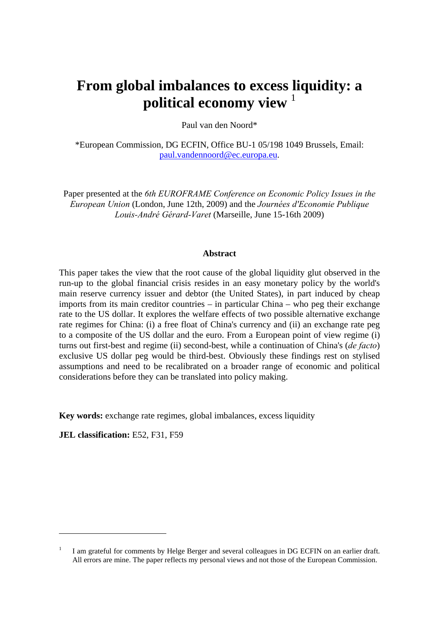# **From global imbalances to excess liquidity: a political economy view** <sup>1</sup>

Paul van den Noord\*

\*European Commission, DG ECFIN, Office BU-1 05/198 1049 Brussels, Email: [paul.vandennoord@ec.europa.eu.](mailto:paul.vandennoord@ec.europa.eu)

Paper presented at the *6th EUROFRAME Conference on Economic Policy Issues in the European Union* (London, June 12th, 2009) and the *Journées d'Economie Publique Louis-André Gérard-Varet* (Marseille, June 15-16th 2009)

#### **Abstract**

This paper takes the view that the root cause of the global liquidity glut observed in the run-up to the global financial crisis resides in an easy monetary policy by the world's main reserve currency issuer and debtor (the United States), in part induced by cheap imports from its main creditor countries – in particular China – who peg their exchange rate to the US dollar. It explores the welfare effects of two possible alternative exchange rate regimes for China: (i) a free float of China's currency and (ii) an exchange rate peg to a composite of the US dollar and the euro. From a European point of view regime (i) turns out first-best and regime (ii) second-best, while a continuation of China's (*de facto*) exclusive US dollar peg would be third-best. Obviously these findings rest on stylised assumptions and need to be recalibrated on a broader range of economic and political considerations before they can be translated into policy making.

**Key words:** exchange rate regimes, global imbalances, excess liquidity

**JEL classification:** E52, F31, F59

 $\overline{a}$ 

<sup>1</sup> I am grateful for comments by Helge Berger and several colleagues in DG ECFIN on an earlier draft. All errors are mine. The paper reflects my personal views and not those of the European Commission.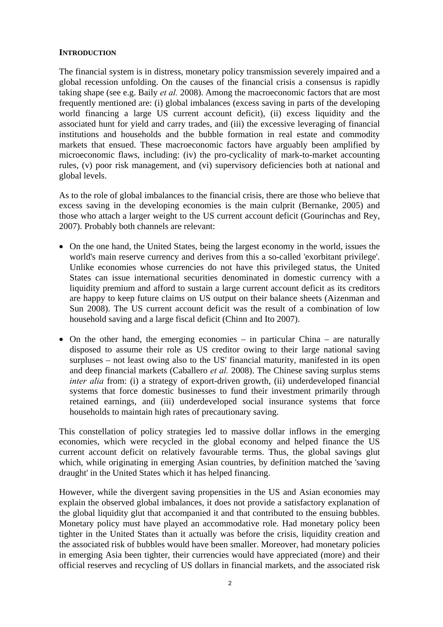# **INTRODUCTION**

The financial system is in distress, monetary policy transmission severely impaired and a global recession unfolding. On the causes of the financial crisis a consensus is rapidly taking shape (see e.g. Baily *et al.* 2008). Among the macroeconomic factors that are most frequently mentioned are: (i) global imbalances (excess saving in parts of the developing world financing a large US current account deficit), (ii) excess liquidity and the associated hunt for yield and carry trades, and (iii) the excessive leveraging of financial institutions and households and the bubble formation in real estate and commodity markets that ensued. These macroeconomic factors have arguably been amplified by microeconomic flaws, including: (iv) the pro-cyclicality of mark-to-market accounting rules, (v) poor risk management, and (vi) supervisory deficiencies both at national and global levels.

As to the role of global imbalances to the financial crisis, there are those who believe that excess saving in the developing economies is the main culprit (Bernanke, 2005) and those who attach a larger weight to the US current account deficit (Gourinchas and Rey, 2007). Probably both channels are relevant:

- On the one hand, the United States, being the largest economy in the world, issues the world's main reserve currency and derives from this a so-called 'exorbitant privilege'. Unlike economies whose currencies do not have this privileged status, the United States can issue international securities denominated in domestic currency with a liquidity premium and afford to sustain a large current account deficit as its creditors are happy to keep future claims on US output on their balance sheets (Aizenman and Sun 2008). The US current account deficit was the result of a combination of low household saving and a large fiscal deficit (Chinn and Ito 2007).
- On the other hand, the emerging economies in particular China are naturally disposed to assume their role as US creditor owing to their large national saving surpluses – not least owing also to the US' financial maturity, manifested in its open and deep financial markets (Caballero *et al.* 2008). The Chinese saving surplus stems *inter alia* from: (i) a strategy of export-driven growth, (ii) underdeveloped financial systems that force domestic businesses to fund their investment primarily through retained earnings, and (iii) underdeveloped social insurance systems that force households to maintain high rates of precautionary saving.

This constellation of policy strategies led to massive dollar inflows in the emerging economies, which were recycled in the global economy and helped finance the US current account deficit on relatively favourable terms. Thus, the global savings glut which, while originating in emerging Asian countries, by definition matched the 'saving draught' in the United States which it has helped financing.

However, while the divergent saving propensities in the US and Asian economies may explain the observed global imbalances, it does not provide a satisfactory explanation of the global liquidity glut that accompanied it and that contributed to the ensuing bubbles. Monetary policy must have played an accommodative role. Had monetary policy been tighter in the United States than it actually was before the crisis, liquidity creation and the associated risk of bubbles would have been smaller. Moreover, had monetary policies in emerging Asia been tighter, their currencies would have appreciated (more) and their official reserves and recycling of US dollars in financial markets, and the associated risk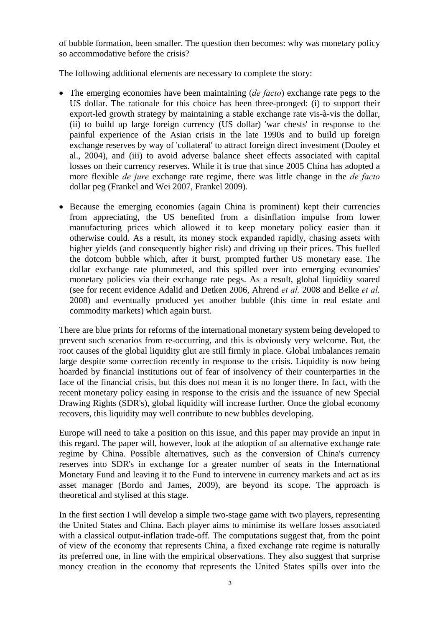of bubble formation, been smaller. The question then becomes: why was monetary policy so accommodative before the crisis?

The following additional elements are necessary to complete the story:

- The emerging economies have been maintaining (*de facto*) exchange rate pegs to the US dollar. The rationale for this choice has been three-pronged: (i) to support their export-led growth strategy by maintaining a stable exchange rate vis-à-vis the dollar, (ii) to build up large foreign currency (US dollar) 'war chests' in response to the painful experience of the Asian crisis in the late 1990s and to build up foreign exchange reserves by way of 'collateral' to attract foreign direct investment (Dooley et al., 2004), and (iii) to avoid adverse balance sheet effects associated with capital losses on their currency reserves. While it is true that since 2005 China has adopted a more flexible *de jure* exchange rate regime, there was little change in the *de facto* dollar peg (Frankel and Wei 2007, Frankel 2009).
- Because the emerging economies (again China is prominent) kept their currencies from appreciating, the US benefited from a disinflation impulse from lower manufacturing prices which allowed it to keep monetary policy easier than it otherwise could. As a result, its money stock expanded rapidly, chasing assets with higher yields (and consequently higher risk) and driving up their prices. This fuelled the dotcom bubble which, after it burst, prompted further US monetary ease. The dollar exchange rate plummeted, and this spilled over into emerging economies' monetary policies via their exchange rate pegs. As a result, global liquidity soared (see for recent evidence Adalid and Detken 2006, Ahrend *et al.* 2008 and Belke *et al.* 2008) and eventually produced yet another bubble (this time in real estate and commodity markets) which again burst.

There are blue prints for reforms of the international monetary system being developed to prevent such scenarios from re-occurring, and this is obviously very welcome. But, the root causes of the global liquidity glut are still firmly in place. Global imbalances remain large despite some correction recently in response to the crisis. Liquidity is now being hoarded by financial institutions out of fear of insolvency of their counterparties in the face of the financial crisis, but this does not mean it is no longer there. In fact, with the recent monetary policy easing in response to the crisis and the issuance of new Special Drawing Rights (SDR's), global liquidity will increase further. Once the global economy recovers, this liquidity may well contribute to new bubbles developing.

Europe will need to take a position on this issue, and this paper may provide an input in this regard. The paper will, however, look at the adoption of an alternative exchange rate regime by China. Possible alternatives, such as the conversion of China's currency reserves into SDR's in exchange for a greater number of seats in the International Monetary Fund and leaving it to the Fund to intervene in currency markets and act as its asset manager (Bordo and James, 2009), are beyond its scope. The approach is theoretical and stylised at this stage.

In the first section I will develop a simple two-stage game with two players, representing the United States and China. Each player aims to minimise its welfare losses associated with a classical output-inflation trade-off. The computations suggest that, from the point of view of the economy that represents China, a fixed exchange rate regime is naturally its preferred one, in line with the empirical observations. They also suggest that surprise money creation in the economy that represents the United States spills over into the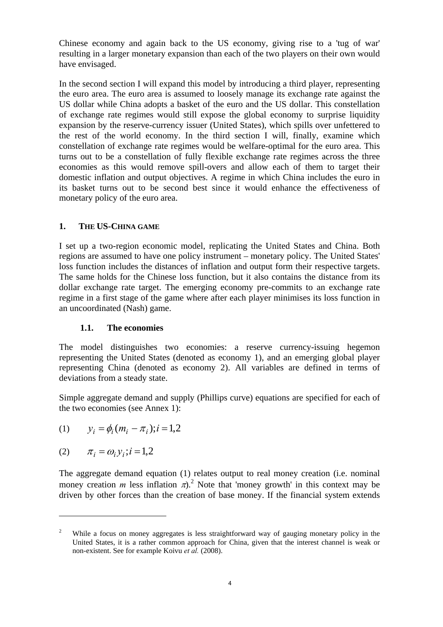Chinese economy and again back to the US economy, giving rise to a 'tug of war' resulting in a larger monetary expansion than each of the two players on their own would have envisaged.

In the second section I will expand this model by introducing a third player, representing the euro area. The euro area is assumed to loosely manage its exchange rate against the US dollar while China adopts a basket of the euro and the US dollar. This constellation of exchange rate regimes would still expose the global economy to surprise liquidity expansion by the reserve-currency issuer (United States), which spills over unfettered to the rest of the world economy. In the third section I will, finally, examine which constellation of exchange rate regimes would be welfare-optimal for the euro area. This turns out to be a constellation of fully flexible exchange rate regimes across the three economies as this would remove spill-overs and allow each of them to target their domestic inflation and output objectives. A regime in which China includes the euro in its basket turns out to be second best since it would enhance the effectiveness of monetary policy of the euro area.

# **1. THE US-CHINA GAME**

I set up a two-region economic model, replicating the United States and China. Both regions are assumed to have one policy instrument – monetary policy. The United States' loss function includes the distances of inflation and output form their respective targets. The same holds for the Chinese loss function, but it also contains the distance from its dollar exchange rate target. The emerging economy pre-commits to an exchange rate regime in a first stage of the game where after each player minimises its loss function in an uncoordinated (Nash) game.

## **1.1. The economies**

The model distinguishes two economies: a reserve currency-issuing hegemon representing the United States (denoted as economy 1), and an emerging global player representing China (denoted as economy 2). All variables are defined in terms of deviations from a steady state.

Simple aggregate demand and supply (Phillips curve) equations are specified for each of the two economies (see Annex 1):

(1) 
$$
y_i = \phi_i (m_i - \pi_i); i = 1,2
$$

$$
(2) \qquad \pi_i = \omega_i y_i; i = 1, 2
$$

 $\overline{a}$ 

The aggregate demand equation (1) relates output to real money creation (i.e. nominal money creation *m* less inflation  $\pi$ ).<sup>2</sup> Note that 'money growth' in this context may be driven by other forces than the creation of base money. If the financial system extends

<sup>2</sup> While a focus on money aggregates is less straightforward way of gauging monetary policy in the United States, it is a rather common approach for China, given that the interest channel is weak or non-existent. See for example Koivu *et al.* (2008).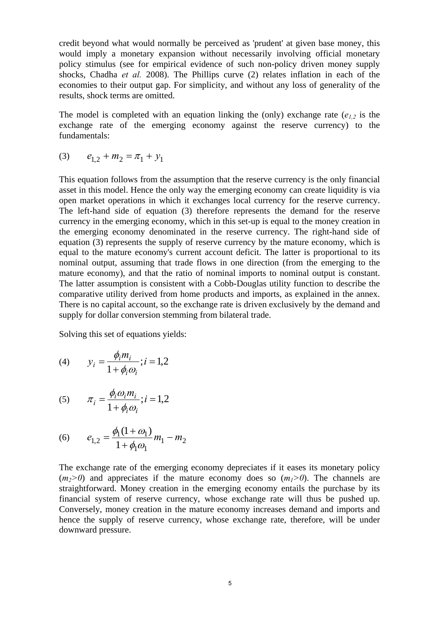credit beyond what would normally be perceived as 'prudent' at given base money, this would imply a monetary expansion without necessarily involving official monetary policy stimulus (see for empirical evidence of such non-policy driven money supply shocks, Chadha *et al.* 2008). The Phillips curve (2) relates inflation in each of the economies to their output gap. For simplicity, and without any loss of generality of the results, shock terms are omitted.

The model is completed with an equation linking the (only) exchange rate  $(e_{1,2})$  is the exchange rate of the emerging economy against the reserve currency) to the fundamentals:

$$
(3) \qquad e_{1,2} + m_2 = \pi_1 + y_1
$$

This equation follows from the assumption that the reserve currency is the only financial asset in this model. Hence the only way the emerging economy can create liquidity is via open market operations in which it exchanges local currency for the reserve currency. The left-hand side of equation (3) therefore represents the demand for the reserve currency in the emerging economy, which in this set-up is equal to the money creation in the emerging economy denominated in the reserve currency. The right-hand side of equation (3) represents the supply of reserve currency by the mature economy, which is equal to the mature economy's current account deficit. The latter is proportional to its nominal output, assuming that trade flows in one direction (from the emerging to the mature economy), and that the ratio of nominal imports to nominal output is constant. The latter assumption is consistent with a Cobb-Douglas utility function to describe the comparative utility derived from home products and imports, as explained in the annex. There is no capital account, so the exchange rate is driven exclusively by the demand and supply for dollar conversion stemming from bilateral trade.

Solving this set of equations yields:

(4) 
$$
y_i = \frac{\phi_i m_i}{1 + \phi_i \omega_i}; i = 1, 2
$$

$$
(5) \qquad \pi_i = \frac{\phi_i \omega_i m_i}{1 + \phi_i \omega_i}; i = 1, 2
$$

(6) 
$$
e_{1,2} = \frac{\phi_1(1+\omega_1)}{1+\phi_1\omega_1}m_1 - m_2
$$

The exchange rate of the emerging economy depreciates if it eases its monetary policy  $(m<sub>2</sub>0)$  and appreciates if the mature economy does so  $(m<sub>1</sub>0)$ . The channels are straightforward. Money creation in the emerging economy entails the purchase by its financial system of reserve currency, whose exchange rate will thus be pushed up. Conversely, money creation in the mature economy increases demand and imports and hence the supply of reserve currency, whose exchange rate, therefore, will be under downward pressure.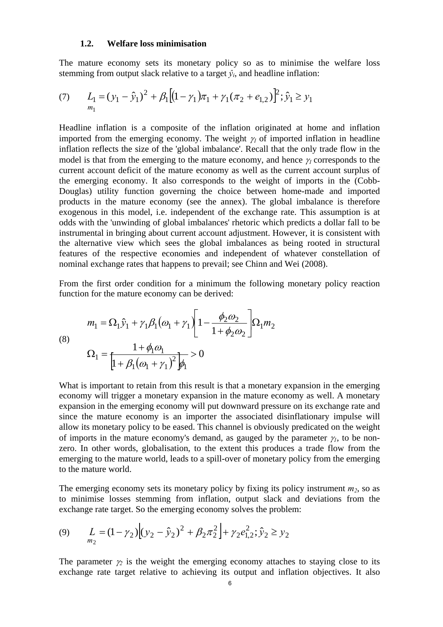#### **1.2. Welfare loss minimisation**

The mature economy sets its monetary policy so as to minimise the welfare loss stemming from output slack relative to a target  $\hat{y}_i$ , and headline inflation:

(7) 
$$
L_1 = (y_1 - \hat{y}_1)^2 + \beta_1 \Big[ (1 - \gamma_1)\pi_1 + \gamma_1 (\pi_2 + e_{1,2}) \Big]^2; \hat{y}_1 \ge y_1
$$

Headline inflation is a composite of the inflation originated at home and inflation imported from the emerging economy. The weight  $\gamma_l$  of imported inflation in headline inflation reflects the size of the 'global imbalance'. Recall that the only trade flow in the model is that from the emerging to the mature economy, and hence <sup>γ</sup>*1* corresponds to the current account deficit of the mature economy as well as the current account surplus of the emerging economy. It also corresponds to the weight of imports in the (Cobb-Douglas) utility function governing the choice between home-made and imported products in the mature economy (see the annex). The global imbalance is therefore exogenous in this model, i.e. independent of the exchange rate. This assumption is at odds with the 'unwinding of global imbalances' rhetoric which predicts a dollar fall to be instrumental in bringing about current account adjustment. However, it is consistent with the alternative view which sees the global imbalances as being rooted in structural features of the respective economies and independent of whatever constellation of nominal exchange rates that happens to prevail; see Chinn and Wei (2008).

From the first order condition for a minimum the following monetary policy reaction function for the mature economy can be derived:

(8)  
\n
$$
m_1 = \Omega_1 \hat{y}_1 + \gamma_1 \beta_1 (\omega_1 + \gamma_1) \left[ 1 - \frac{\phi_2 \omega_2}{1 + \phi_2 \omega_2} \right] \Omega_1 m_2
$$
\n
$$
\Omega_1 = \frac{1 + \phi_1 \omega_1}{\left[ 1 + \beta_1 (\omega_1 + \gamma_1)^2 \right] \phi_1} > 0
$$

What is important to retain from this result is that a monetary expansion in the emerging economy will trigger a monetary expansion in the mature economy as well. A monetary expansion in the emerging economy will put downward pressure on its exchange rate and since the mature economy is an importer the associated disinflationary impulse will allow its monetary policy to be eased. This channel is obviously predicated on the weight of imports in the mature economy's demand, as gauged by the parameter  $\gamma_l$ , to be nonzero. In other words, globalisation, to the extent this produces a trade flow from the emerging to the mature world, leads to a spill-over of monetary policy from the emerging to the mature world.

The emerging economy sets its monetary policy by fixing its policy instrument  $m_2$ , so as to minimise losses stemming from inflation, output slack and deviations from the exchange rate target. So the emerging economy solves the problem:

(9) 
$$
L_{m_2} = (1 - \gamma_2) \Big[ (y_2 - \hat{y}_2)^2 + \beta_2 \pi_2^2 \Big] + \gamma_2 e_{1,2}^2; \hat{y}_2 \ge y_2
$$

The parameter  $\gamma_2$  is the weight the emerging economy attaches to staying close to its exchange rate target relative to achieving its output and inflation objectives. It also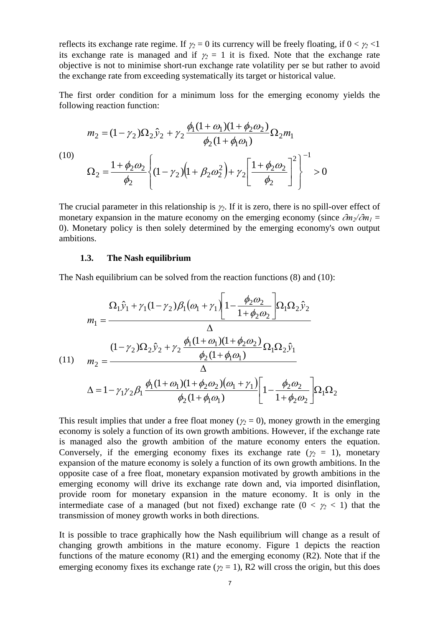reflects its exchange rate regime. If  $\gamma_2 = 0$  its currency will be freely floating, if  $0 < \gamma_2 < 1$ its exchange rate is managed and if  $\gamma_2 = 1$  it is fixed. Note that the exchange rate objective is not to minimise short-run exchange rate volatility per se but rather to avoid the exchange rate from exceeding systematically its target or historical value.

The first order condition for a minimum loss for the emerging economy yields the following reaction function:

$$
m_2 = (1 - \gamma_2)\Omega_2 \hat{y}_2 + \gamma_2 \frac{\phi_1 (1 + \omega_1)(1 + \phi_2 \omega_2)}{\phi_2 (1 + \phi_1 \omega_1)} \Omega_2 m_1
$$
  
(10)  

$$
\Omega_2 = \frac{1 + \phi_2 \omega_2}{\phi_2} \left\{ (1 - \gamma_2) \left( 1 + \beta_2 \omega_2^2 \right) + \gamma_2 \left[ \frac{1 + \phi_2 \omega_2}{\phi_2} \right]^2 \right\}^{-1} > 0
$$

The crucial parameter in this relationship is <sup>γ</sup>*2*. If it is zero, there is no spill-over effect of monetary expansion in the mature economy on the emerging economy (since  $\partial m_2/\partial m_1 =$ 0). Monetary policy is then solely determined by the emerging economy's own output ambitions.

#### **1.3. The Nash equilibrium**

The Nash equilibrium can be solved from the reaction functions (8) and (10):

$$
m_{1} = \frac{\Omega_{1}\hat{y}_{1} + \gamma_{1}(1-\gamma_{2})\beta_{1}(\omega_{1}+\gamma_{1})\left[1-\frac{\phi_{2}\omega_{2}}{1+\phi_{2}\omega_{2}}\right]\Omega_{1}\Omega_{2}\hat{y}_{2}}{\Delta}
$$
\n
$$
(11) \quad m_{2} = \frac{(1-\gamma_{2})\Omega_{2}\hat{y}_{2} + \gamma_{2}\frac{\phi_{1}(1+\omega_{1})(1+\phi_{2}\omega_{2})}{\phi_{2}(1+\phi_{1}\omega_{1})}\Omega_{1}\Omega_{2}\hat{y}_{1}}{\Delta}
$$
\n
$$
\Delta = 1 - \gamma_{1}\gamma_{2}\beta_{1}\frac{\phi_{1}(1+\omega_{1})(1+\phi_{2}\omega_{2})(\omega_{1}+\gamma_{1})}{\phi_{2}(1+\phi_{1}\omega_{1})}\left[1-\frac{\phi_{2}\omega_{2}}{1+\phi_{2}\omega_{2}}\right]\Omega_{1}\Omega_{2}
$$

This result implies that under a free float money ( $\gamma_2 = 0$ ), money growth in the emerging economy is solely a function of its own growth ambitions. However, if the exchange rate is managed also the growth ambition of the mature economy enters the equation. Conversely, if the emerging economy fixes its exchange rate ( $\gamma_2 = 1$ ), monetary expansion of the mature economy is solely a function of its own growth ambitions. In the opposite case of a free float, monetary expansion motivated by growth ambitions in the emerging economy will drive its exchange rate down and, via imported disinflation, provide room for monetary expansion in the mature economy. It is only in the intermediate case of a managed (but not fixed) exchange rate  $(0 < \gamma_2 < 1)$  that the transmission of money growth works in both directions.

It is possible to trace graphically how the Nash equilibrium will change as a result of changing growth ambitions in the mature economy. Figure 1 depicts the reaction functions of the mature economy (R1) and the emerging economy (R2). Note that if the emerging economy fixes its exchange rate ( $\gamma_2 = 1$ ), R2 will cross the origin, but this does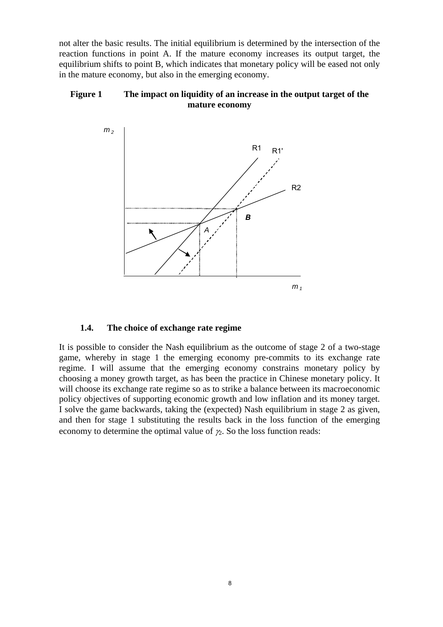not alter the basic results. The initial equilibrium is determined by the intersection of the reaction functions in point A. If the mature economy increases its output target, the equilibrium shifts to point B, which indicates that monetary policy will be eased not only in the mature economy, but also in the emerging economy.

# **Figure 1 The impact on liquidity of an increase in the output target of the mature economy**



## **1.4. The choice of exchange rate regime**

It is possible to consider the Nash equilibrium as the outcome of stage 2 of a two-stage game, whereby in stage 1 the emerging economy pre-commits to its exchange rate regime. I will assume that the emerging economy constrains monetary policy by choosing a money growth target, as has been the practice in Chinese monetary policy. It will choose its exchange rate regime so as to strike a balance between its macroeconomic policy objectives of supporting economic growth and low inflation and its money target. I solve the game backwards, taking the (expected) Nash equilibrium in stage 2 as given, and then for stage 1 substituting the results back in the loss function of the emerging economy to determine the optimal value of  $\gamma_2$ . So the loss function reads: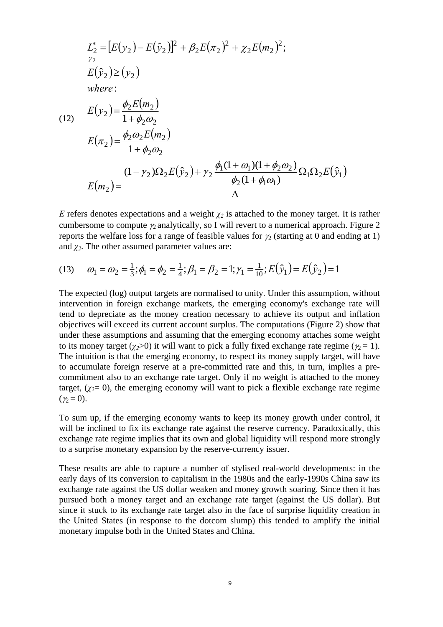$$
L_2^* = [E(y_2) - E(\hat{y}_2)]^2 + \beta_2 E(\pi_2)^2 + \chi_2 E(m_2)^2;
$$
  
\n
$$
E(\hat{y}_2) \ge (y_2)
$$
  
\nwhere:  
\n(12) 
$$
E(y_2) = \frac{\phi_2 E(m_2)}{1 + \phi_2 \omega_2}
$$
  
\n
$$
E(\pi_2) = \frac{\phi_2 \omega_2 E(m_2)}{1 + \phi_2 \omega_2}
$$
  
\n
$$
\frac{(1 - \gamma_2) \Omega_2 E(\hat{y}_2) + \gamma_2 \frac{\phi_1 (1 + \omega_1)(1 + \phi_2 \omega_2)}{\phi_2 (1 + \phi_1 \omega_1)} \Omega_1 \Omega_2 E(\hat{y}_1)}{\Delta}
$$

*E* refers denotes expectations and a weight  $\chi_2$  is attached to the money target. It is rather cumbersome to compute  $\gamma_2$  analytically, so I will revert to a numerical approach. Figure 2 reports the welfare loss for a range of feasible values for  $\gamma_2$  (starting at 0 and ending at 1) and  $\chi_2$ . The other assumed parameter values are:

(13) 
$$
\omega_1 = \omega_2 = \frac{1}{3}; \phi_1 = \phi_2 = \frac{1}{4}; \beta_1 = \beta_2 = 1; \gamma_1 = \frac{1}{10}; E(\hat{y}_1) = E(\hat{y}_2) = 1
$$

The expected (log) output targets are normalised to unity. Under this assumption, without intervention in foreign exchange markets, the emerging economy's exchange rate will tend to depreciate as the money creation necessary to achieve its output and inflation objectives will exceed its current account surplus. The computations (Figure 2) show that under these assumptions and assuming that the emerging economy attaches some weight to its money target ( $\chi$ <sub>2</sub>>0) it will want to pick a fully fixed exchange rate regime ( $\chi$ <sub>2</sub> = 1). The intuition is that the emerging economy, to respect its money supply target, will have to accumulate foreign reserve at a pre-committed rate and this, in turn, implies a precommitment also to an exchange rate target. Only if no weight is attached to the money target,  $(\chi_2=0)$ , the emerging economy will want to pick a flexible exchange rate regime  $(y_2 = 0)$ .

To sum up, if the emerging economy wants to keep its money growth under control, it will be inclined to fix its exchange rate against the reserve currency. Paradoxically, this exchange rate regime implies that its own and global liquidity will respond more strongly to a surprise monetary expansion by the reserve-currency issuer.

These results are able to capture a number of stylised real-world developments: in the early days of its conversion to capitalism in the 1980s and the early-1990s China saw its exchange rate against the US dollar weaken and money growth soaring. Since then it has pursued both a money target and an exchange rate target (against the US dollar). But since it stuck to its exchange rate target also in the face of surprise liquidity creation in the United States (in response to the dotcom slump) this tended to amplify the initial monetary impulse both in the United States and China.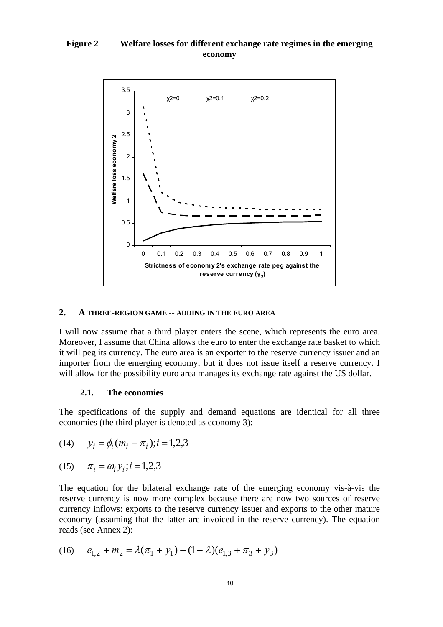# **Figure 2 Welfare losses for different exchange rate regimes in the emerging economy**



#### **2. A THREE-REGION GAME -- ADDING IN THE EURO AREA**

I will now assume that a third player enters the scene, which represents the euro area. Moreover, I assume that China allows the euro to enter the exchange rate basket to which it will peg its currency. The euro area is an exporter to the reserve currency issuer and an importer from the emerging economy, but it does not issue itself a reserve currency. I will allow for the possibility euro area manages its exchange rate against the US dollar.

#### **2.1. The economies**

The specifications of the supply and demand equations are identical for all three economies (the third player is denoted as economy 3):

(14) 
$$
y_i = \phi_i (m_i - \pi_i); i = 1,2,3
$$

(15) 
$$
\pi_i = \omega_i y_i; i = 1, 2, 3
$$

The equation for the bilateral exchange rate of the emerging economy vis-à-vis the reserve currency is now more complex because there are now two sources of reserve currency inflows: exports to the reserve currency issuer and exports to the other mature economy (assuming that the latter are invoiced in the reserve currency). The equation reads (see Annex 2):

(16) 
$$
e_{1,2} + m_2 = \lambda (\pi_1 + y_1) + (1 - \lambda)(e_{1,3} + \pi_3 + y_3)
$$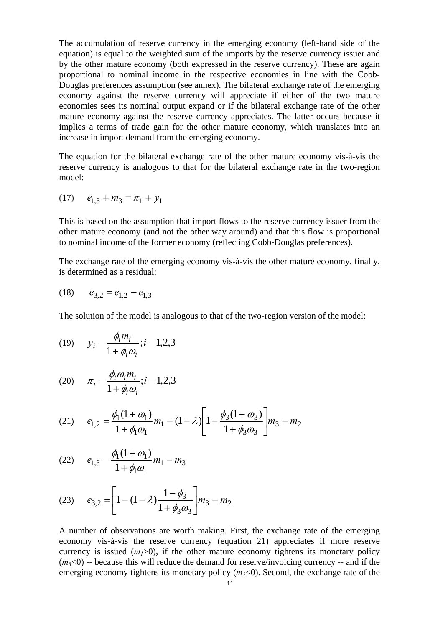The accumulation of reserve currency in the emerging economy (left-hand side of the equation) is equal to the weighted sum of the imports by the reserve currency issuer and by the other mature economy (both expressed in the reserve currency). These are again proportional to nominal income in the respective economies in line with the Cobb-Douglas preferences assumption (see annex). The bilateral exchange rate of the emerging economy against the reserve currency will appreciate if either of the two mature economies sees its nominal output expand or if the bilateral exchange rate of the other mature economy against the reserve currency appreciates. The latter occurs because it implies a terms of trade gain for the other mature economy, which translates into an increase in import demand from the emerging economy.

The equation for the bilateral exchange rate of the other mature economy vis-à-vis the reserve currency is analogous to that for the bilateral exchange rate in the two-region model:

$$
(17) \qquad e_{1,3} + m_3 = \pi_1 + y_1
$$

This is based on the assumption that import flows to the reserve currency issuer from the other mature economy (and not the other way around) and that this flow is proportional to nominal income of the former economy (reflecting Cobb-Douglas preferences).

The exchange rate of the emerging economy vis-à-vis the other mature economy, finally, is determined as a residual:

$$
(18) \qquad e_{3,2} = e_{1,2} - e_{1,3}
$$

The solution of the model is analogous to that of the two-region version of the model:

(19) 
$$
y_i = \frac{\phi_i m_i}{1 + \phi_i \omega_i}; i = 1, 2, 3
$$

(20) 
$$
\pi_i = \frac{\phi_i \omega_i m_i}{1 + \phi_i \omega_i}; i = 1, 2, 3
$$

(21) 
$$
e_{1,2} = \frac{\phi_1(1+\omega_1)}{1+\phi_1\omega_1}m_1 - (1-\lambda)\left[1-\frac{\phi_3(1+\omega_3)}{1+\phi_3\omega_3}\right]m_3 - m_2
$$

(22) 
$$
e_{1,3} = \frac{\phi_1(1+\omega_1)}{1+\phi_1\omega_1}m_1 - m_3
$$

(23) 
$$
e_{3,2} = \left[1 - (1 - \lambda)\frac{1 - \phi_3}{1 + \phi_3 \omega_3}\right] m_3 - m_2
$$

A number of observations are worth making. First, the exchange rate of the emerging economy vis-à-vis the reserve currency (equation 21) appreciates if more reserve currency is issued  $(m_1>0)$ , if the other mature economy tightens its monetary policy  $(m<sub>3</sub><0)$  -- because this will reduce the demand for reserve/invoicing currency -- and if the emerging economy tightens its monetary policy  $(m_2<0)$ . Second, the exchange rate of the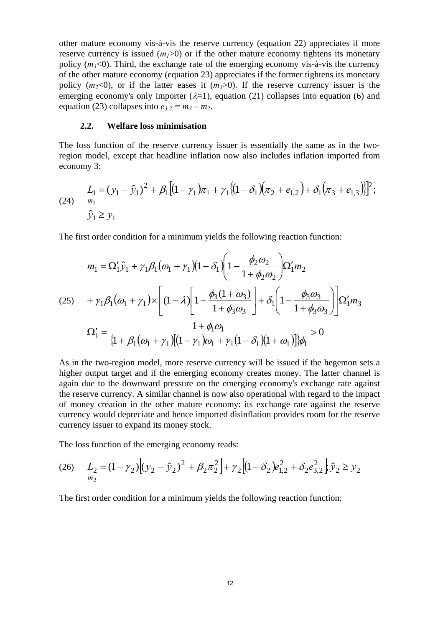other mature economy vis-à-vis the reserve currency (equation 22) appreciates if more reserve currency is issued  $(m_1>0)$  or if the other mature economy tightens its monetary policy  $(m_3<0)$ . Third, the exchange rate of the emerging economy vis-à-vis the currency of the other mature economy (equation 23) appreciates if the former tightens its monetary policy  $(m_2<0)$ , or if the latter eases it  $(m_3>0)$ . If the reserve currency issuer is the emerging economy's only importer  $(\lambda=1)$ , equation (21) collapses into equation (6) and equation (23) collapses into  $e_{3,2} = m_3 - m_2$ .

#### **2.2. Welfare loss minimisation**

The loss function of the reserve currency issuer is essentially the same as in the tworegion model, except that headline inflation now also includes inflation imported from economy 3:

(24) 
$$
L_1 = (y_1 - \hat{y}_1)^2 + \beta_1 \left[ (1 - \gamma_1)\pi_1 + \gamma_1 \left\{ (1 - \delta_1)(\pi_2 + e_{1,2}) + \delta_1 (\pi_3 + e_{1,3}) \right\} \right]^2;
$$

$$
\hat{y}_1 \ge y_1
$$

The first order condition for a minimum yields the following reaction function:

$$
m_1 = \Omega_1' \hat{y}_1 + \gamma_1 \beta_1 (\omega_1 + \gamma_1) (1 - \delta_1) \left( 1 - \frac{\phi_2 \omega_2}{1 + \phi_2 \omega_2} \right) \Omega_1' m_2
$$
  
(25) 
$$
+ \gamma_1 \beta_1 (\omega_1 + \gamma_1) \times \left[ (1 - \lambda) \left[ 1 - \frac{\phi_3 (1 + \omega_3)}{1 + \phi_3 \omega_3} \right] + \delta_1 \left( 1 - \frac{\phi_3 \omega_3}{1 + \phi_3 \omega_3} \right) \right] \Omega_1' m_3
$$

$$
\Omega_1' = \frac{1 + \phi_1 \omega_1}{\left\{ 1 + \beta_1 (\omega_1 + \gamma_1) \left[ (1 - \gamma_1) \omega_1 + \gamma_1 (1 - \delta_1) (1 + \omega_1) \right] \right\} \phi_1} > 0
$$

As in the two-region model, more reserve currency will be issued if the hegemon sets a higher output target and if the emerging economy creates money. The latter channel is again due to the downward pressure on the emerging economy's exchange rate against the reserve currency. A similar channel is now also operational with regard to the impact of money creation in the other mature economy: its exchange rate against the reserve currency would depreciate and hence imported disinflation provides room for the reserve currency issuer to expand its money stock.

The loss function of the emerging economy reads:

(26) 
$$
L_2 = (1 - \gamma_2) \Big[ (y_2 - \hat{y}_2)^2 + \beta_2 \pi_2^2 \Big] + \gamma_2 \Big[ (1 - \delta_2) e_{1,2}^2 + \delta_2 e_{3,2}^2 \Big] \hat{y}_2 \ge y_2
$$

The first order condition for a minimum yields the following reaction function: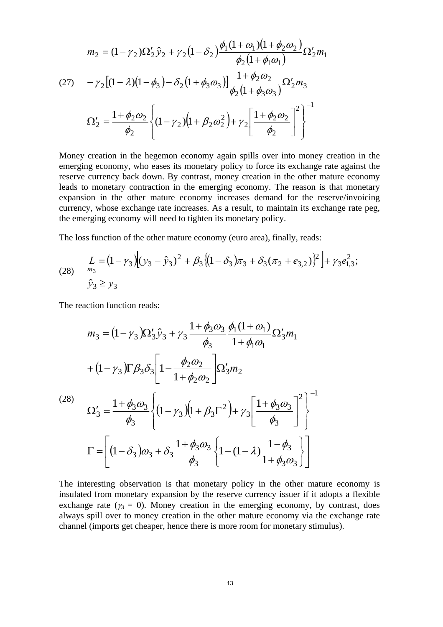$$
m_2 = (1 - \gamma_2)\Omega'_2 \hat{y}_2 + \gamma_2 (1 - \delta_2) \frac{\phi_1 (1 + \omega_1)(1 + \phi_2 \omega_2)}{\phi_2 (1 + \phi_1 \omega_1)} \Omega'_2 m_1
$$
  
(27) 
$$
- \gamma_2 [(1 - \lambda)(1 - \phi_3) - \delta_2 (1 + \phi_3 \omega_3)] \frac{1 + \phi_2 \omega_2}{\phi_2 (1 + \phi_3 \omega_3)} \Omega'_2 m_3
$$

$$
\Omega'_2 = \frac{1 + \phi_2 \omega_2}{\phi_2} \left\{ (1 - \gamma_2)(1 + \beta_2 \omega_2^2) + \gamma_2 \left[ \frac{1 + \phi_2 \omega_2}{\phi_2} \right]^2 \right\}^{-1}
$$

Money creation in the hegemon economy again spills over into money creation in the emerging economy, who eases its monetary policy to force its exchange rate against the reserve currency back down. By contrast, money creation in the other mature economy leads to monetary contraction in the emerging economy. The reason is that monetary expansion in the other mature economy increases demand for the reserve/invoicing currency, whose exchange rate increases. As a result, to maintain its exchange rate peg, the emerging economy will need to tighten its monetary policy.

The loss function of the other mature economy (euro area), finally, reads:

(28) 
$$
\begin{aligned} L &= (1 - \gamma_3) \Big| (y_3 - \hat{y}_3)^2 + \beta_3 \big( (1 - \delta_3) \pi_3 + \delta_3 (\pi_2 + e_{3,2}) \big)^2 \Big| + \gamma_3 e_{1,3}^2; \\ \hat{y}_3 &\ge y_3 \end{aligned}
$$

The reaction function reads:

$$
m_3 = (1 - \gamma_3)\Omega'_3 \hat{y}_3 + \gamma_3 \frac{1 + \phi_3 \omega_3}{\phi_3} \frac{\phi_1(1 + \omega_1)}{1 + \phi_1 \omega_1} \Omega'_3 m_1
$$
  
+  $(1 - \gamma_3)\Gamma \beta_3 \delta_3 \Bigg[ 1 - \frac{\phi_2 \omega_2}{1 + \phi_2 \omega_2} \Bigg] \Omega'_3 m_2$   

$$
\Omega'_3 = \frac{1 + \phi_3 \omega_3}{\phi_3} \Bigg\{ (1 - \gamma_3) (1 + \beta_3 \Gamma^2) + \gamma_3 \Bigg[ \frac{1 + \phi_3 \omega_3}{\phi_3} \Bigg]^2 \Bigg\}^{-1}
$$
  

$$
\Gamma = \Bigg[ (1 - \delta_3) \omega_3 + \delta_3 \frac{1 + \phi_3 \omega_3}{\phi_3} \Bigg\{ 1 - (1 - \lambda) \frac{1 - \phi_3}{1 + \phi_3 \omega_3} \Bigg\} \Bigg]
$$

The interesting observation is that monetary policy in the other mature economy is insulated from monetary expansion by the reserve currency issuer if it adopts a flexible exchange rate ( $\gamma_3 = 0$ ). Money creation in the emerging economy, by contrast, does always spill over to money creation in the other mature economy via the exchange rate channel (imports get cheaper, hence there is more room for monetary stimulus).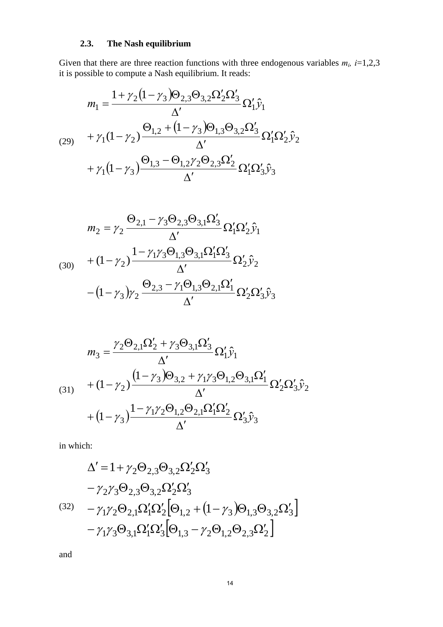# **2.3. The Nash equilibrium**

Given that there are three reaction functions with three endogenous variables  $m_i$ ,  $i=1,2,3$ it is possible to compute a Nash equilibrium. It reads:

$$
m_{1} = \frac{1 + \gamma_{2} (1 - \gamma_{3}) \Theta_{2,3} \Theta_{3,2} \Omega_{2}' \Omega_{3}'}{\Delta'} \Omega_{1}' \hat{y}_{1}
$$
  
\n
$$
+ \gamma_{1} (1 - \gamma_{2}) \frac{\Theta_{1,2} + (1 - \gamma_{3}) \Theta_{1,3} \Theta_{3,2} \Omega_{3}'}{\Delta'} \Omega_{1}' \Omega_{2}' \hat{y}_{2}
$$
  
\n
$$
+ \gamma_{1} (1 - \gamma_{3}) \frac{\Theta_{1,3} - \Theta_{1,2} \gamma_{2} \Theta_{2,3} \Omega_{2}'}{\Delta'} \Omega_{1}' \Omega_{3}' \hat{y}_{3}
$$

$$
m_2 = \gamma_2 \frac{\Theta_{2,1} - \gamma_3 \Theta_{2,3} \Theta_{3,1} \Omega_3'}{\Delta'} \Omega_1' \Omega_2' \hat{y}_1
$$
  
(30) 
$$
+ (1 - \gamma_2) \frac{1 - \gamma_1 \gamma_3 \Theta_{1,3} \Theta_{3,1} \Omega_1' \Omega_3'}{\Delta'} \Omega_2' \hat{y}_2
$$

$$
- (1 - \gamma_3) \gamma_2 \frac{\Theta_{2,3} - \gamma_1 \Theta_{1,3} \Theta_{2,1} \Omega_1'}{\Delta'} \Omega_2' \Omega_3' \hat{y}_3
$$

$$
m_3 = \frac{\gamma_2 \Theta_{2,1} \Omega_2' + \gamma_3 \Theta_{3,1} \Omega_3'}{\Delta'} \Omega_1' \hat{y}_1
$$
  
(31)  

$$
+ (1 - \gamma_2) \frac{(1 - \gamma_3) \Theta_{3,2} + \gamma_1 \gamma_3 \Theta_{1,2} \Theta_{3,1} \Omega_1'}{\Delta'} \Omega_2' \Omega_3' \hat{y}_2
$$
  

$$
+ (1 - \gamma_3) \frac{1 - \gamma_1 \gamma_2 \Theta_{1,2} \Theta_{2,1} \Omega_1' \Omega_2'}{\Delta'} \Omega_3' \hat{y}_3
$$

in which:

$$
\Delta' = 1 + \gamma_2 \Theta_{2,3} \Theta_{3,2} \Omega'_2 \Omega'_3 \n- \gamma_2 \gamma_3 \Theta_{2,3} \Theta_{3,2} \Omega'_2 \Omega'_3 \n- \gamma_1 \gamma_2 \Theta_{2,1} \Omega'_1 \Omega'_2 \Big[\Theta_{1,2} + (1 - \gamma_3) \Theta_{1,3} \Theta_{3,2} \Omega'_3\Big] \n- \gamma_1 \gamma_3 \Theta_{3,1} \Omega'_1 \Omega'_3 \Big[\Theta_{1,3} - \gamma_2 \Theta_{1,2} \Theta_{2,3} \Omega'_2\Big]
$$

and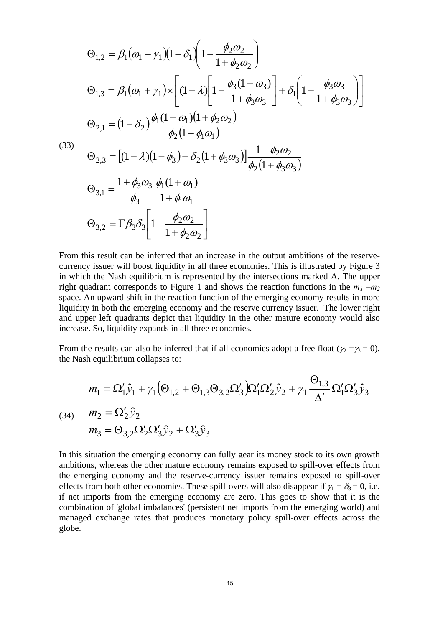$$
\Theta_{1,2} = \beta_1(\omega_1 + \gamma_1)(1 - \delta_1)\left(1 - \frac{\phi_2 \omega_2}{1 + \phi_2 \omega_2}\right)
$$
  
\n
$$
\Theta_{1,3} = \beta_1(\omega_1 + \gamma_1) \times \left[ (1 - \lambda) \left[1 - \frac{\phi_3(1 + \omega_3)}{1 + \phi_3 \omega_3}\right] + \delta_1 \left(1 - \frac{\phi_3 \omega_3}{1 + \phi_3 \omega_3}\right) \right]
$$
  
\n
$$
\Theta_{2,1} = (1 - \delta_2) \frac{\phi_1(1 + \omega_1)(1 + \phi_2 \omega_2)}{\phi_2(1 + \phi_1 \omega_1)}
$$
  
\n(33)  
\n
$$
\Theta_{2,3} = \left[ (1 - \lambda)(1 - \phi_3) - \delta_2 (1 + \phi_3 \omega_3) \right] \frac{1 + \phi_2 \omega_2}{\phi_2(1 + \phi_3 \omega_3)}
$$
  
\n
$$
\Theta_{3,1} = \frac{1 + \phi_3 \omega_3}{\phi_3} \frac{\phi_1(1 + \omega_1)}{1 + \phi_1 \omega_1}
$$
  
\n
$$
\Theta_{3,2} = \Gamma \beta_3 \delta_3 \left[ 1 - \frac{\phi_2 \omega_2}{1 + \phi_2 \omega_2} \right]
$$

From this result can be inferred that an increase in the output ambitions of the reservecurrency issuer will boost liquidity in all three economies. This is illustrated by Figure 3 in which the Nash equilibrium is represented by the intersections marked A. The upper right quadrant corresponds to Figure 1 and shows the reaction functions in the  $m_1 - m_2$ space. An upward shift in the reaction function of the emerging economy results in more liquidity in both the emerging economy and the reserve currency issuer. The lower right and upper left quadrants depict that liquidity in the other mature economy would also increase. So, liquidity expands in all three economies.

From the results can also be inferred that if all economies adopt a free float ( $\gamma_2 = \gamma_3 = 0$ ), the Nash equilibrium collapses to:

$$
m_1 = \Omega'_1 \hat{y}_1 + \gamma_1 (\Theta_{1,2} + \Theta_{1,3} \Theta_{3,2} \Omega'_3) \Omega'_1 \Omega'_2 \hat{y}_2 + \gamma_1 \frac{\Theta_{1,3}}{\Delta'} \Omega'_1 \Omega'_3 \hat{y}_3
$$
  
(34) 
$$
m_2 = \Omega'_2 \hat{y}_2
$$
  

$$
m_3 = \Theta_{3,2} \Omega'_2 \Omega'_3 \hat{y}_2 + \Omega'_3 \hat{y}_3
$$

In this situation the emerging economy can fully gear its money stock to its own growth ambitions, whereas the other mature economy remains exposed to spill-over effects from the emerging economy and the reserve-currency issuer remains exposed to spill-over effects from both other economies. These spill-overs will also disappear if  $\gamma_1 = \delta_3 = 0$ , i.e. if net imports from the emerging economy are zero. This goes to show that it is the combination of 'global imbalances' (persistent net imports from the emerging world) and managed exchange rates that produces monetary policy spill-over effects across the globe.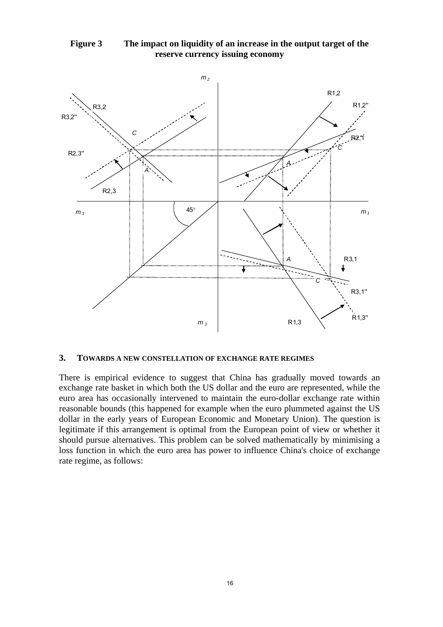



#### **3. TOWARDS A NEW CONSTELLATION OF EXCHANGE RATE REGIMES**

There is empirical evidence to suggest that China has gradually moved towards an exchange rate basket in which both the US dollar and the euro are represented, while the euro area has occasionally intervened to maintain the euro-dollar exchange rate within reasonable bounds (this happened for example when the euro plummeted against the US dollar in the early years of European Economic and Monetary Union). The question is legitimate if this arrangement is optimal from the European point of view or whether it should pursue alternatives. This problem can be solved mathematically by minimising a loss function in which the euro area has power to influence China's choice of exchange rate regime, as follows: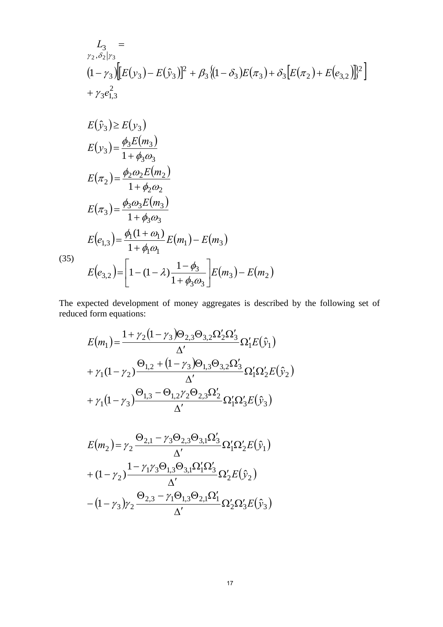$$
L_{3} =
$$
  
\n
$$
r_{2} \cdot \delta_{2} | r_{3}
$$
  
\n
$$
(1 - r_{3}) \left[ E(y_{3}) - E(\hat{y}_{3}) \right]^{2} + \beta_{3} \left\{ (1 - \delta_{3}) E(\pi_{3}) + \delta_{3} \left[ E(\pi_{2}) + E(e_{3,2}) \right] \right\}^{2}
$$
  
\n
$$
+ r_{3} e_{1,3}^{2}
$$
  
\n
$$
E(\hat{y}_{3}) \ge E(y_{3})
$$
  
\n
$$
E(y_{3}) = \frac{\phi_{3} E(m_{3})}{1 + \phi_{3} \omega_{3}}
$$
  
\n
$$
E(\pi_{2}) = \frac{\phi_{2} \omega_{2} E(m_{2})}{1 + \phi_{2} \omega_{2}}
$$

(35)

$$
E(e_{1,3}) = \frac{\varphi_1(1 + \omega_1)}{1 + \phi_1 \omega_1} E(m_1) - E(m_3)
$$
  

$$
E(e_{3,2}) = \left[1 - (1 - \lambda) \frac{1 - \phi_3}{1 + \phi_3 \omega_3}\right] E(m_3) - E(m_2)
$$

 $(e_{1,3}) = \frac{\varphi_1(x + \omega_1)}{1 + \omega_2} E(m_1) - E(m_3)$ 

 $3\omega_3$ 

 $E(e_{1,3}) = \frac{\varphi_1(1 + \omega_1)}{1 - \omega_1} E(m_1) - E(m_1)$ 

 $\eta$  (1 +  $\omega_1$ )

 $\phi_1(1+\omega)$ 

 $(1 + \omega_1)$ 

 $\phi_3\omega$ 

 $3\omega_3 E(m_3)$ 

 $(\pi_3) = \frac{\phi_3 \omega_3 E(m_3)}{4}$ 

 $E(\pi_3) = \frac{\phi_3 \omega_3 E(m)}{4}$ 

 $(\pi_2) = \frac{\phi_3 \omega_1}{\phi_3}$ 

1

 $=\frac{\varphi_3\omega_3}{1+}$ 

 $=\frac{\phi_1(1+)}{1-\phi_1(1+)}$ 

1,3

3

The expected development of money aggregates is described by the following set of reduced form equations:

$$
E(m_1) = \frac{1 + \gamma_2 (1 - \gamma_3) \Theta_{2,3} \Theta_{3,2} \Omega_2' \Omega_3'}{\Delta'} \Omega_1' E(\hat{y}_1)
$$
  
+  $\gamma_1 (1 - \gamma_2) \frac{\Theta_{1,2} + (1 - \gamma_3) \Theta_{1,3} \Theta_{3,2} \Omega_3'}{\Delta'} \Omega_1' \Omega_2' E(\hat{y}_2)$   
+  $\gamma_1 (1 - \gamma_3) \frac{\Theta_{1,3} - \Theta_{1,2} \gamma_2 \Theta_{2,3} \Omega_2'}{\Delta'} \Omega_1' \Omega_3' E(\hat{y}_3)$ 

$$
E(m_2) = \gamma_2 \frac{\Theta_{2,1} - \gamma_3 \Theta_{2,3} \Theta_{3,1} \Omega_3'}{\Delta'} \Omega_1' \Omega_2' E(\hat{y}_1)
$$
  
+ 
$$
(1 - \gamma_2) \frac{1 - \gamma_1 \gamma_3 \Theta_{1,3} \Theta_{3,1} \Omega_1' \Omega_3'}{\Delta'} \Omega_2' E(\hat{y}_2)
$$
  
- 
$$
(1 - \gamma_3) \gamma_2 \frac{\Theta_{2,3} - \gamma_1 \Theta_{1,3} \Theta_{2,1} \Omega_1'}{\Delta'} \Omega_2' \Omega_3' E(\hat{y}_3)
$$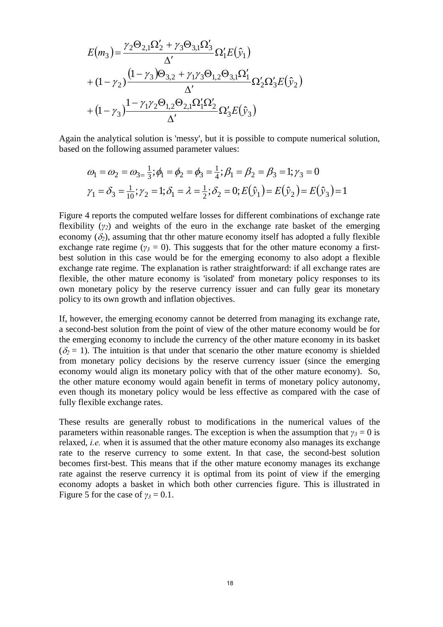$$
E(m_3) = \frac{\gamma_2 \Theta_{2,1} \Omega_2' + \gamma_3 \Theta_{3,1} \Omega_3'}{\Delta'} \Omega_1' E(\hat{y}_1)
$$
  
+ 
$$
(1 - \gamma_2) \frac{(1 - \gamma_3) \Theta_{3,2} + \gamma_1 \gamma_3 \Theta_{1,2} \Theta_{3,1} \Omega_1'}{\Delta'} \Omega_2' \Omega_3' E(\hat{y}_2)
$$
  
+ 
$$
(1 - \gamma_3) \frac{1 - \gamma_1 \gamma_2 \Theta_{1,2} \Theta_{2,1} \Omega_1' \Omega_2'}{\Delta'} \Omega_3' E(\hat{y}_3)
$$

Again the analytical solution is 'messy', but it is possible to compute numerical solution, based on the following assumed parameter values:

$$
\omega_1 = \omega_2 = \omega_{3= \frac{1}{3}}; \phi_1 = \phi_2 = \phi_3 = \frac{1}{4}; \beta_1 = \beta_2 = \beta_3 = 1; \gamma_3 = 0
$$
  

$$
\gamma_1 = \delta_3 = \frac{1}{10}; \gamma_2 = 1; \delta_1 = \lambda = \frac{1}{2}; \delta_2 = 0; E(\hat{y}_1) = E(\hat{y}_2) = E(\hat{y}_3) = 1
$$

Figure 4 reports the computed welfare losses for different combinations of exchange rate flexibility (*γ2*) and weights of the euro in the exchange rate basket of the emerging economy  $(\delta_2)$ , assuming that thr other mature economy itself has adopted a fully flexible exchange rate regime ( $\gamma$ <sup>3</sup> = 0). This suggests that for the other mature economy a firstbest solution in this case would be for the emerging economy to also adopt a flexible exchange rate regime. The explanation is rather straightforward: if all exchange rates are flexible, the other mature economy is 'isolated' from monetary policy responses to its own monetary policy by the reserve currency issuer and can fully gear its monetary policy to its own growth and inflation objectives.

If, however, the emerging economy cannot be deterred from managing its exchange rate, a second-best solution from the point of view of the other mature economy would be for the emerging economy to include the currency of the other mature economy in its basket  $(\delta_2 = 1)$ . The intuition is that under that scenario the other mature economy is shielded from monetary policy decisions by the reserve currency issuer (since the emerging economy would align its monetary policy with that of the other mature economy). So, the other mature economy would again benefit in terms of monetary policy autonomy, even though its monetary policy would be less effective as compared with the case of fully flexible exchange rates.

These results are generally robust to modifications in the numerical values of the parameters within reasonable ranges. The exception is when the assumption that  $\gamma_3 = 0$  is relaxed, *i.e.* when it is assumed that the other mature economy also manages its exchange rate to the reserve currency to some extent. In that case, the second-best solution becomes first-best. This means that if the other mature economy manages its exchange rate against the reserve currency it is optimal from its point of view if the emerging economy adopts a basket in which both other currencies figure. This is illustrated in Figure 5 for the case of  $\gamma_3 = 0.1$ .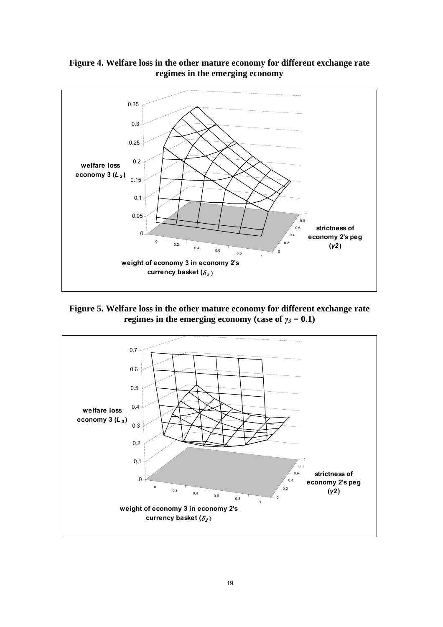

**Figure 4. Welfare loss in the other mature economy for different exchange rate regimes in the emerging economy** 

**Figure 5. Welfare loss in the other mature economy for different exchange rate regimes in the emerging economy (case of**  $\gamma_3 = 0.1$ **)** 

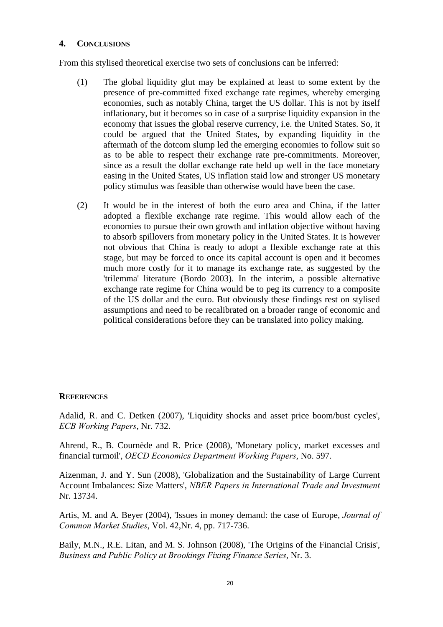### **4. CONCLUSIONS**

From this stylised theoretical exercise two sets of conclusions can be inferred:

- (1) The global liquidity glut may be explained at least to some extent by the presence of pre-committed fixed exchange rate regimes, whereby emerging economies, such as notably China, target the US dollar. This is not by itself inflationary, but it becomes so in case of a surprise liquidity expansion in the economy that issues the global reserve currency, i.e. the United States. So, it could be argued that the United States, by expanding liquidity in the aftermath of the dotcom slump led the emerging economies to follow suit so as to be able to respect their exchange rate pre-commitments. Moreover, since as a result the dollar exchange rate held up well in the face monetary easing in the United States, US inflation staid low and stronger US monetary policy stimulus was feasible than otherwise would have been the case.
- (2) It would be in the interest of both the euro area and China, if the latter adopted a flexible exchange rate regime. This would allow each of the economies to pursue their own growth and inflation objective without having to absorb spillovers from monetary policy in the United States. It is however not obvious that China is ready to adopt a flexible exchange rate at this stage, but may be forced to once its capital account is open and it becomes much more costly for it to manage its exchange rate, as suggested by the 'trilemma' literature (Bordo 2003). In the interim, a possible alternative exchange rate regime for China would be to peg its currency to a composite of the US dollar and the euro. But obviously these findings rest on stylised assumptions and need to be recalibrated on a broader range of economic and political considerations before they can be translated into policy making.

#### **REFERENCES**

Adalid, R. and C. Detken (2007), 'Liquidity shocks and asset price boom/bust cycles', *ECB Working Papers*, Nr. 732.

Ahrend, R., B. Cournède and R. Price (2008), 'Monetary policy, market excesses and financial turmoil', *OECD Economics Department Working Papers*, No. 597.

Aizenman, J. and Y. Sun (2008), 'Globalization and the Sustainability of Large Current Account Imbalances: Size Matters', *NBER Papers in International Trade and Investment* Nr. 13734.

Artis, M. and A. Beyer (2004), 'Issues in money demand: the case of Europe, *Journal of Common Market Studies*, Vol. 42,Nr. 4, pp. 717-736.

Baily, M.N., R.E. Litan, and M. S. Johnson (2008), 'The Origins of the Financial Crisis', *Business and Public Policy at Brookings Fixing Finance Series*, Nr. 3.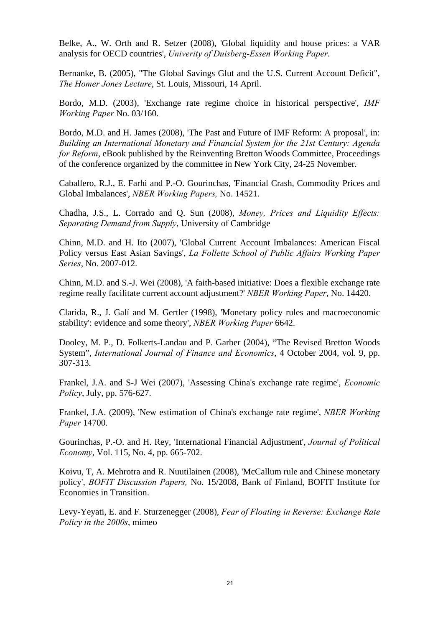Belke, A., W. Orth and R. Setzer (2008), 'Global liquidity and house prices: a VAR analysis for OECD countries', *Univerity of Duisberg-Essen Working Paper*.

Bernanke, B. (2005), "The Global Savings Glut and the U.S. Current Account Deficit", *The Homer Jones Lecture*, St. Louis, Missouri, 14 April.

Bordo, M.D. (2003), 'Exchange rate regime choice in historical perspective', *IMF Working Paper* No. 03/160.

Bordo, M.D. and H. James (2008), 'The Past and Future of IMF Reform: A proposal', in: *Building an International Monetary and Financial System for the 21st Century: Agenda for Reform*, eBook published by the Reinventing Bretton Woods Committee, Proceedings of the conference organized by the committee in New York City, 24-25 November.

Caballero, R.J., E. Farhi and P.-O. Gourinchas, 'Financial Crash, Commodity Prices and Global Imbalances', *NBER Working Papers,* No. 14521.

Chadha, J.S., L. Corrado and Q. Sun (2008), *Money, Prices and Liquidity Effects: Separating Demand from Supply*, University of Cambridge

Chinn, M.D. and H. Ito (2007), 'Global Current Account Imbalances: American Fiscal Policy versus East Asian Savings', *La Follette School of Public Affairs Working Paper Series*, No. 2007-012.

Chinn, M.D. and S.-J. Wei (2008), 'A faith-based initiative: Does a flexible exchange rate regime really facilitate current account adjustment?' *NBER Working Paper*, No. 14420.

Clarida, R., J. Galí and M. Gertler (1998), 'Monetary policy rules and macroeconomic stability': evidence and some theory', *NBER Working Paper* 6642.

Dooley, M. P., D. Folkerts-Landau and P. Garber (2004), "The Revised Bretton Woods System", *International Journal of Finance and Economics*, 4 October 2004, vol. 9, pp. 307-313.

Frankel, J.A. and S-J Wei (2007), 'Assessing China's exchange rate regime', *Economic Policy*, July, pp. 576-627.

Frankel, J.A. (2009), 'New estimation of China's exchange rate regime', *NBER Working Paper* 14700.

Gourinchas, P.-O. and H. Rey, 'International Financial Adjustment', *Journal of Political Economy*, Vol. 115, No. 4, pp. 665-702.

Koivu, T, A. Mehrotra and R. Nuutilainen (2008), 'McCallum rule and Chinese monetary policy', *BOFIT Discussion Papers,* No. 15/2008, Bank of Finland, BOFIT Institute for Economies in Transition.

Levy-Yeyati, E. and F. Sturzenegger (2008), *Fear of Floating in Reverse: Exchange Rate Policy in the 2000s*, mimeo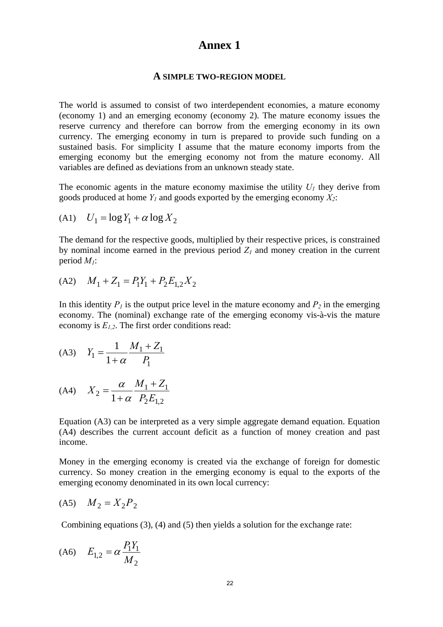# **Annex 1**

#### **A SIMPLE TWO-REGION MODEL**

The world is assumed to consist of two interdependent economies, a mature economy (economy 1) and an emerging economy (economy 2). The mature economy issues the reserve currency and therefore can borrow from the emerging economy in its own currency. The emerging economy in turn is prepared to provide such funding on a sustained basis. For simplicity I assume that the mature economy imports from the emerging economy but the emerging economy not from the mature economy. All variables are defined as deviations from an unknown steady state.

The economic agents in the mature economy maximise the utility  $U_I$  they derive from goods produced at home  $Y_l$  and goods exported by the emerging economy  $X_2$ :

$$
(A1) \quad U_1 = \log Y_1 + \alpha \log X_2
$$

The demand for the respective goods, multiplied by their respective prices, is constrained by nominal income earned in the previous period  $Z<sub>1</sub>$  and money creation in the current period *M1*:

(A2) 
$$
M_1 + Z_1 = P_1 Y_1 + P_2 E_{1,2} X_2
$$

In this identity  $P_1$  is the output price level in the mature economy and  $P_2$  in the emerging economy. The (nominal) exchange rate of the emerging economy vis-à-vis the mature economy is  $E_{1,2}$ . The first order conditions read:

(A3) 
$$
Y_1 = \frac{1}{1+\alpha} \frac{M_1 + Z_1}{P_1}
$$

(A4) 
$$
X_2 = \frac{\alpha}{1 + \alpha} \frac{M_1 + Z_1}{P_2 E_{1,2}}
$$

Equation (A3) can be interpreted as a very simple aggregate demand equation. Equation (A4) describes the current account deficit as a function of money creation and past income.

Money in the emerging economy is created via the exchange of foreign for domestic currency. So money creation in the emerging economy is equal to the exports of the emerging economy denominated in its own local currency:

$$
(A5) \quad M_2 = X_2 P_2
$$

Combining equations (3), (4) and (5) then yields a solution for the exchange rate:

$$
(A6) \t E_{1,2} = \alpha \frac{P_1 Y_1}{M_2}
$$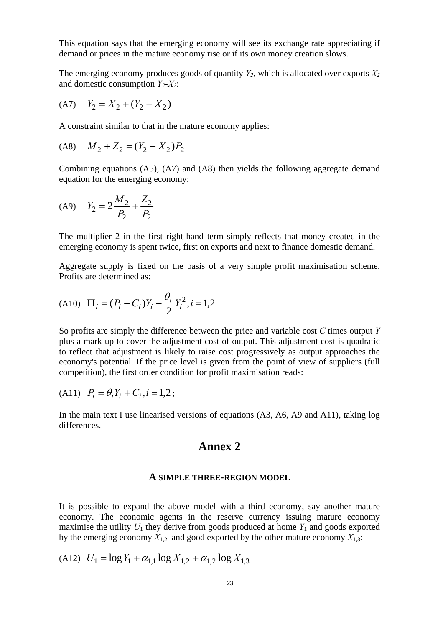This equation says that the emerging economy will see its exchange rate appreciating if demand or prices in the mature economy rise or if its own money creation slows.

The emerging economy produces goods of quantity  $Y_2$ , which is allocated over exports  $X_2$ and domestic consumption  $Y_2$ - $X_2$ :

$$
(A7) \quad Y_2 = X_2 + (Y_2 - X_2)
$$

A constraint similar to that in the mature economy applies:

$$
(A8) \quad M_2 + Z_2 = (Y_2 - X_2)P_2
$$

Combining equations (A5), (A7) and (A8) then yields the following aggregate demand equation for the emerging economy:

$$
(A9) \t Y2 = 2\frac{M_2}{P_2} + \frac{Z_2}{P_2}
$$

The multiplier 2 in the first right-hand term simply reflects that money created in the emerging economy is spent twice, first on exports and next to finance domestic demand.

Aggregate supply is fixed on the basis of a very simple profit maximisation scheme. Profits are determined as:

(A10) 
$$
\Pi_i = (P_i - C_i)Y_i - \frac{\theta_i}{2}Y_i^2, i = 1, 2
$$

So profits are simply the difference between the price and variable cost *C* times output *Y* plus a mark-up to cover the adjustment cost of output. This adjustment cost is quadratic to reflect that adjustment is likely to raise cost progressively as output approaches the economy's potential. If the price level is given from the point of view of suppliers (full competition), the first order condition for profit maximisation reads:

(A11) 
$$
P_i = \theta_i Y_i + C_i, i = 1,2;
$$

In the main text I use linearised versions of equations (A3, A6, A9 and A11), taking log differences.

# **Annex 2**

#### **A SIMPLE THREE-REGION MODEL**

It is possible to expand the above model with a third economy, say another mature economy. The economic agents in the reserve currency issuing mature economy maximise the utility  $U_1$  they derive from goods produced at home  $Y_1$  and goods exported by the emerging economy  $X_{1,2}$  and good exported by the other mature economy  $X_{1,3}$ :

(A12) 
$$
U_1 = \log Y_1 + \alpha_{1,1} \log X_{1,2} + \alpha_{1,2} \log X_{1,3}
$$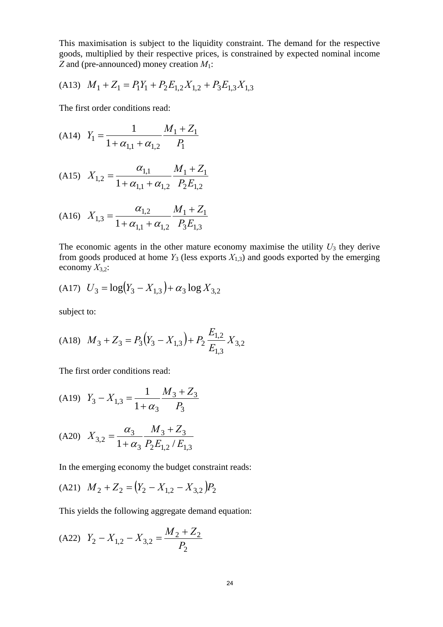This maximisation is subject to the liquidity constraint. The demand for the respective goods, multiplied by their respective prices, is constrained by expected nominal income *Z* and (pre-announced) money creation *M*1:

$$
(A13) \quad M_1 + Z_1 = P_1 Y_1 + P_2 E_{1,2} X_{1,2} + P_3 E_{1,3} X_{1,3}
$$

The first order conditions read:

$$
(A14) \quad Y_1 = \frac{1}{1 + \alpha_{1,1} + \alpha_{1,2}} \frac{M_1 + Z_1}{P_1}
$$

$$
(A15) \quad X_{1,2} = \frac{\alpha_{1,1}}{1 + \alpha_{1,1} + \alpha_{1,2}} \frac{M_1 + Z_1}{P_2 E_{1,2}}
$$

$$
(A16)\quad X_{1,3} = \frac{\alpha_{1,2}}{1 + \alpha_{1,1} + \alpha_{1,2}} \frac{M_1 + Z_1}{P_3 E_{1,3}}
$$

The economic agents in the other mature economy maximise the utility  $U_3$  they derive from goods produced at home  $Y_3$  (less exports  $X_{1,3}$ ) and goods exported by the emerging economy  $X_{3,2}$ :

$$
(A17) \quad U_3 = \log(Y_3 - X_{1,3}) + \alpha_3 \log X_{3,2}
$$

subject to:

$$
(A18)\quad M_3 + Z_3 = P_3(Y_3 - X_{1,3}) + P_2 \frac{E_{1,2}}{E_{1,3}} X_{3,2}
$$

The first order conditions read:

(A19) 
$$
Y_3 - X_{1,3} = \frac{1}{1 + \alpha_3} \frac{M_3 + Z_3}{P_3}
$$
  
 $\alpha_3$   $M_3 + Z_3$ 

$$
(A20) \quad X_{3,2} = \frac{\alpha_3}{1 + \alpha_3} \frac{M_3 + Z_3}{P_2 E_{1,2} / E_{1,3}}
$$

In the emerging economy the budget constraint reads:

$$
(A21) \quad M_2 + Z_2 = (Y_2 - X_{1,2} - X_{3,2})P_2
$$

This yields the following aggregate demand equation:

(A22) 
$$
Y_2 - X_{1,2} - X_{3,2} = \frac{M_2 + Z_2}{P_2}
$$